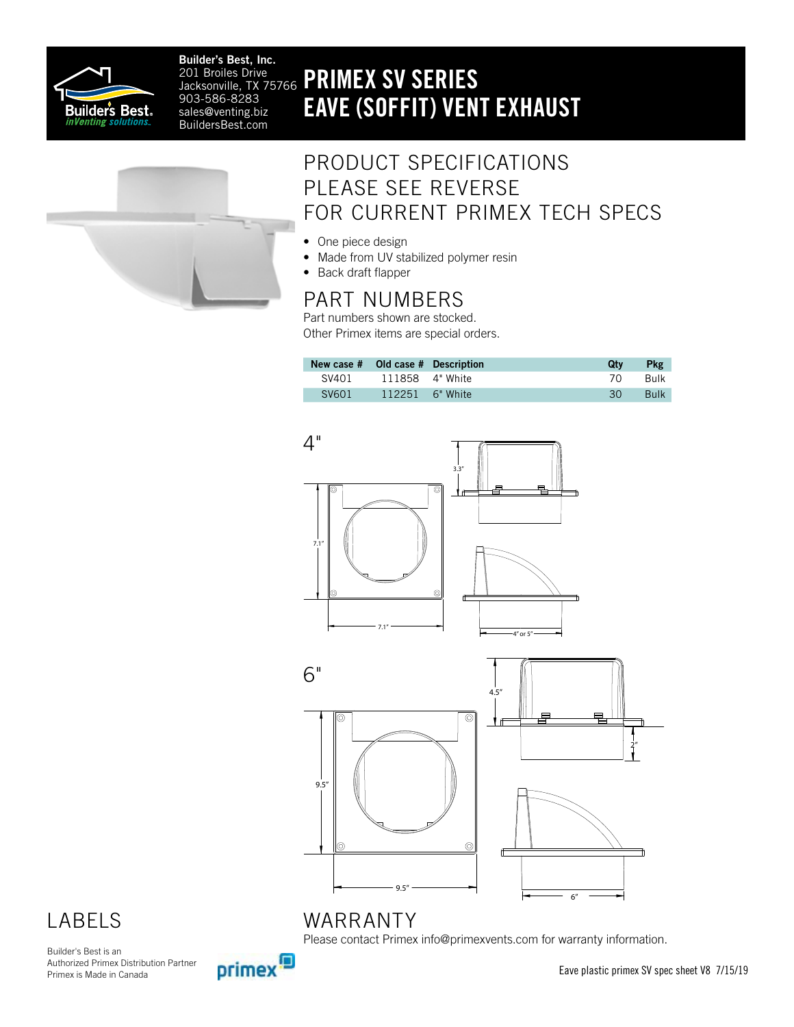

Builder's Best, Inc. Jacksonville, TX 75766 903-586-8283 sales@venting.biz BuildersBest.com

## 201 Broiles Drive **PRIMEX SV SERIES** EAVE (SOFFIT) VENT EXHAUST



### PRODUCT SPECIFICATIONS PLEASE SEE REVERSE FOR CURRENT PRIMEX TECH SPECS

- One piece design
- Made from UV stabilized polymer resin
- Back draft flapper

### PART NUMBERS

Part numbers shown are stocked. Other Primex items are special orders.

| New case # Old case # Description |                 | Qtv | <b>Pkg</b>  |
|-----------------------------------|-----------------|-----|-------------|
| SV401                             | 111858 4" White | 70. | <b>Bulk</b> |
| <b>SV601</b>                      | 112251 6" White | 30  | <b>Bulk</b> |



### LABELS

Builder's Best is an Authorized Primex Distribution Partner Primex is Made in Canada



Please contact Primex info@primexvents.com for warranty information.